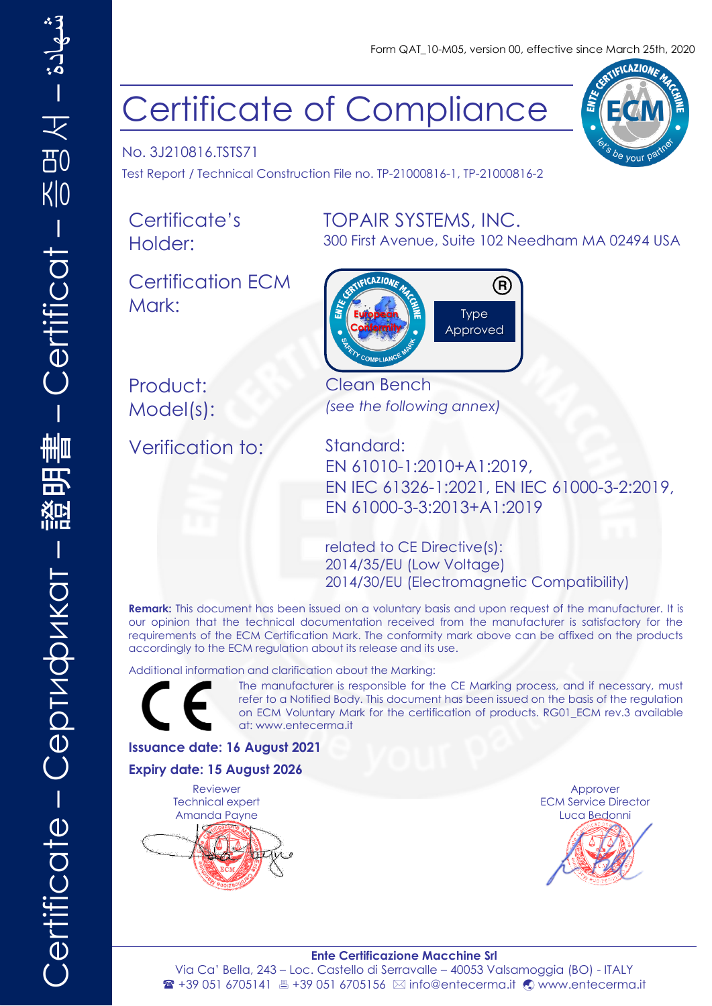**ICAZIONA** 

<sup>}e</sup> vour

# Certificate of Compliance

No. 3J210816.TSTS71 Test Report / Technical Construction File no. TP-21000816-1, TP-21000816-2

Certificate's Holder:

Certification ECM Mark:

### TOPAIR SYSTEMS, INC.

300 First Avenue, Suite 102 Needham MA 02494 USA



Product: Clean Bench

Verification to: Standard:

Model(s): *(see the following annex)*

EN 61010-1:2010+A1:2019, EN IEC 61326-1:2021, EN IEC 61000-3-2:2019, EN 61000-3-3:2013+A1:2019

related to CE Directive(s): 2014/35/EU (Low Voltage) 2014/30/EU (Electromagnetic Compatibility)

**Remark:** This document has been issued on a voluntary basis and upon request of the manufacturer. It is our opinion that the technical documentation received from the manufacturer is satisfactory for the requirements of the ECM Certification Mark. The conformity mark above can be affixed on the products accordingly to the ECM regulation about its release and its use.

Additional information and clarification about the Marking:



The manufacturer is responsible for the CE Marking process, and if necessary, must refer to a Notified Body. This document has been issued on the basis of the regulation on ECM Voluntary Mark for the certification of products. RG01\_ECM rev.3 available at: [www.entecerma.it](http://www.entecerma.it/)

#### **Issuance date: 16 August 2021**

#### **Expiry date: 15 August 2026**

Reviewer Technical expert Amanda Payne



Approver ECM Service Director Luca Bedonni



**Ente Certificazione Macchine Srl** Via Ca' Bella, 243 – Loc. Castello di Serravalle – 40053 Valsamoggia (BO) - ITALY <sup>2</sup> +39 051 6705141 ■ +39 051 6705156 ⊠ info@entecerma.it © www.entecerma.it